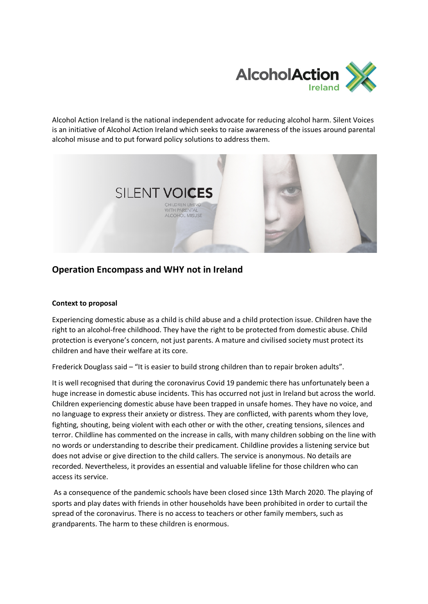

Alcohol Action Ireland is the national independent advocate for reducing alcohol harm. Silent Voices is an initiative of Alcohol Action Ireland which seeks to raise awareness of the issues around parental alcohol misuse and to put forward policy solutions to address them.



# **Operation Encompass and WHY not in Ireland**

## **Context to proposal**

Experiencing domestic abuse as a child is child abuse and a child protection issue. Children have the right to an alcohol-free childhood. They have the right to be protected from domestic abuse. Child protection is everyone's concern, not just parents. A mature and civilised society must protect its children and have their welfare at its core.

Frederick Douglass said – "It is easier to build strong children than to repair broken adults".

It is well recognised that during the coronavirus Covid 19 pandemic there has unfortunately been a huge increase in domestic abuse incidents. This has occurred not just in Ireland but across the world. Children experiencing domestic abuse have been trapped in unsafe homes. They have no voice, and no language to express their anxiety or distress. They are conflicted, with parents whom they love, fighting, shouting, being violent with each other or with the other, creating tensions, silences and terror. Childline has commented on the increase in calls, with many children sobbing on the line with no words or understanding to describe their predicament. Childline provides a listening service but does not advise or give direction to the child callers. The service is anonymous. No details are recorded. Nevertheless, it provides an essential and valuable lifeline for those children who can access its service.

As a consequence of the pandemic schools have been closed since 13th March 2020. The playing of sports and play dates with friends in other households have been prohibited in order to curtail the spread of the coronavirus. There is no access to teachers or other family members, such as grandparents. The harm to these children is enormous.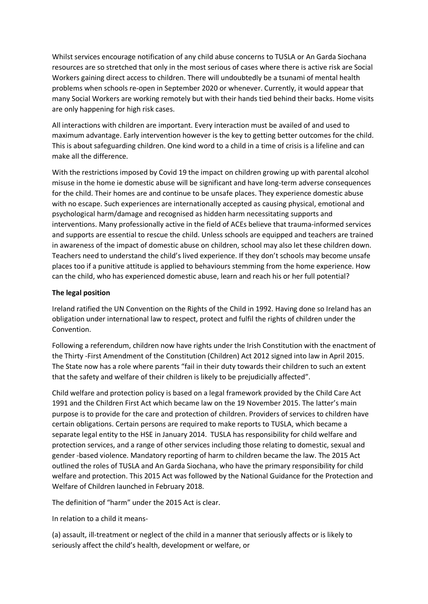Whilst services encourage notification of any child abuse concerns to TUSLA or An Garda Siochana resources are so stretched that only in the most serious of cases where there is active risk are Social Workers gaining direct access to children. There will undoubtedly be a tsunami of mental health problems when schools re-open in September 2020 or whenever. Currently, it would appear that many Social Workers are working remotely but with their hands tied behind their backs. Home visits are only happening for high risk cases.

All interactions with children are important. Every interaction must be availed of and used to maximum advantage. Early intervention however is the key to getting better outcomes for the child. This is about safeguarding children. One kind word to a child in a time of crisis is a lifeline and can make all the difference.

With the restrictions imposed by Covid 19 the impact on children growing up with parental alcohol misuse in the home ie domestic abuse will be significant and have long-term adverse consequences for the child. Their homes are and continue to be unsafe places. They experience domestic abuse with no escape. Such experiences are internationally accepted as causing physical, emotional and psychological harm/damage and recognised as hidden harm necessitating supports and interventions. Many professionally active in the field of ACEs believe that trauma-informed services and supports are essential to rescue the child. Unless schools are equipped and teachers are trained in awareness of the impact of domestic abuse on children, school may also let these children down. Teachers need to understand the child's lived experience. If they don't schools may become unsafe places too if a punitive attitude is applied to behaviours stemming from the home experience. How can the child, who has experienced domestic abuse, learn and reach his or her full potential?

### **The legal position**

Ireland ratified the UN Convention on the Rights of the Child in 1992. Having done so Ireland has an obligation under international law to respect, protect and fulfil the rights of children under the Convention.

Following a referendum, children now have rights under the Irish Constitution with the enactment of the Thirty -First Amendment of the Constitution (Children) Act 2012 signed into law in April 2015. The State now has a role where parents "fail in their duty towards their children to such an extent that the safety and welfare of their children is likely to be prejudicially affected".

Child welfare and protection policy is based on a legal framework provided by the Child Care Act 1991 and the Children First Act which became law on the 19 November 2015. The latter's main purpose is to provide for the care and protection of children. Providers of services to children have certain obligations. Certain persons are required to make reports to TUSLA, which became a separate legal entity to the HSE in January 2014. TUSLA has responsibility for child welfare and protection services, and a range of other services including those relating to domestic, sexual and gender -based violence. Mandatory reporting of harm to children became the law. The 2015 Act outlined the roles of TUSLA and An Garda Siochana, who have the primary responsibility for child welfare and protection. This 2015 Act was followed by the National Guidance for the Protection and Welfare of Children launched in February 2018.

The definition of "harm" under the 2015 Act is clear.

In relation to a child it means-

(a) assault, ill-treatment or neglect of the child in a manner that seriously affects or is likely to seriously affect the child's health, development or welfare, or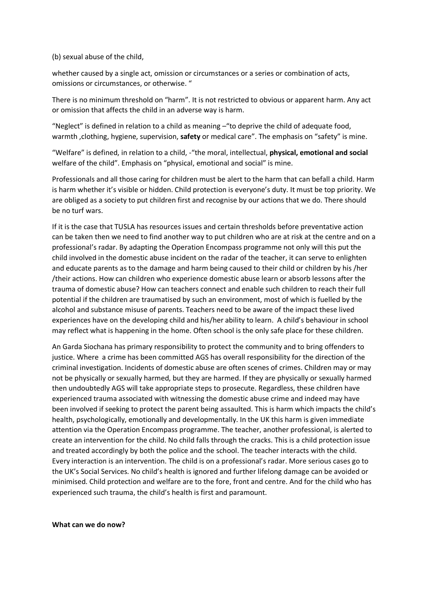#### (b) sexual abuse of the child,

whether caused by a single act, omission or circumstances or a series or combination of acts, omissions or circumstances, or otherwise. "

There is no minimum threshold on "harm". It is not restricted to obvious or apparent harm. Any act or omission that affects the child in an adverse way is harm.

"Neglect" is defined in relation to a child as meaning –"to deprive the child of adequate food, warmth ,clothing, hygiene, supervision, **safety** or medical care". The emphasis on "safety" is mine.

"Welfare" is defined, in relation to a child, -"the moral, intellectual, **physical, emotional and social**  welfare of the child". Emphasis on "physical, emotional and social" is mine.

Professionals and all those caring for children must be alert to the harm that can befall a child. Harm is harm whether it's visible or hidden. Child protection is everyone's duty. It must be top priority. We are obliged as a society to put children first and recognise by our actions that we do. There should be no turf wars.

If it is the case that TUSLA has resources issues and certain thresholds before preventative action can be taken then we need to find another way to put children who are at risk at the centre and on a professional's radar. By adapting the Operation Encompass programme not only will this put the child involved in the domestic abuse incident on the radar of the teacher, it can serve to enlighten and educate parents as to the damage and harm being caused to their child or children by his /her /their actions. How can children who experience domestic abuse learn or absorb lessons after the trauma of domestic abuse? How can teachers connect and enable such children to reach their full potential if the children are traumatised by such an environment, most of which is fuelled by the alcohol and substance misuse of parents. Teachers need to be aware of the impact these lived experiences have on the developing child and his/her ability to learn. A child's behaviour in school may reflect what is happening in the home. Often school is the only safe place for these children.

An Garda Siochana has primary responsibility to protect the community and to bring offenders to justice. Where a crime has been committed AGS has overall responsibility for the direction of the criminal investigation. Incidents of domestic abuse are often scenes of crimes. Children may or may not be physically or sexually harmed, but they are harmed. If they are physically or sexually harmed then undoubtedly AGS will take appropriate steps to prosecute. Regardless, these children have experienced trauma associated with witnessing the domestic abuse crime and indeed may have been involved if seeking to protect the parent being assaulted. This is harm which impacts the child's health, psychologically, emotionally and developmentally. In the UK this harm is given immediate attention via the Operation Encompass programme. The teacher, another professional, is alerted to create an intervention for the child. No child falls through the cracks. This is a child protection issue and treated accordingly by both the police and the school. The teacher interacts with the child. Every interaction is an intervention. The child is on a professional's radar. More serious cases go to the UK's Social Services. No child's health is ignored and further lifelong damage can be avoided or minimised. Child protection and welfare are to the fore, front and centre. And for the child who has experienced such trauma, the child's health is first and paramount.

#### **What can we do now?**